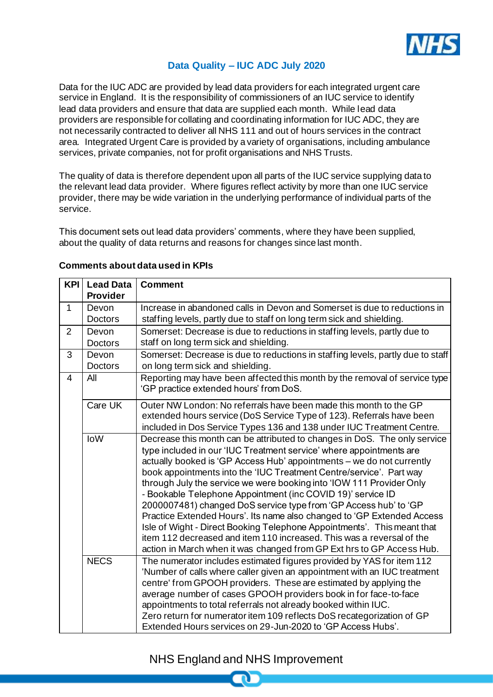

## **Data Quality – IUC ADC July 2020**

Data for the IUC ADC are provided by lead data providers for each integrated urgent care service in England. It is the responsibility of commissioners of an IUC service to identify lead data providers and ensure that data are supplied each month. While lead data providers are responsible for collating and coordinating information for IUC ADC, they are not necessarily contracted to deliver all NHS 111 and out of hours services in the contract area. Integrated Urgent Care is provided by a variety of organisations, including ambulance services, private companies, not for profit organisations and NHS Trusts.

The quality of data is therefore dependent upon all parts of the IUC service supplying data to the relevant lead data provider. Where figures reflect activity by more than one IUC service provider, there may be wide variation in the underlying performance of individual parts of the service.

This document sets out lead data providers' comments, where they have been supplied, about the quality of data returns and reasons for changes since last month.

| <b>KPI</b>     | <b>Lead Data</b><br><b>Provider</b> | <b>Comment</b>                                                                                                                                                                                                                                                                                                                                                                                                                                                                                                                                                                                                                                                                                                                                                                                                     |
|----------------|-------------------------------------|--------------------------------------------------------------------------------------------------------------------------------------------------------------------------------------------------------------------------------------------------------------------------------------------------------------------------------------------------------------------------------------------------------------------------------------------------------------------------------------------------------------------------------------------------------------------------------------------------------------------------------------------------------------------------------------------------------------------------------------------------------------------------------------------------------------------|
| $\mathbf{1}$   | Devon<br><b>Doctors</b>             | Increase in abandoned calls in Devon and Somerset is due to reductions in<br>staffing levels, partly due to staff on long term sick and shielding.                                                                                                                                                                                                                                                                                                                                                                                                                                                                                                                                                                                                                                                                 |
| $\overline{2}$ | Devon<br><b>Doctors</b>             | Somerset: Decrease is due to reductions in staffing levels, partly due to<br>staff on long term sick and shielding.                                                                                                                                                                                                                                                                                                                                                                                                                                                                                                                                                                                                                                                                                                |
| 3              | Devon<br><b>Doctors</b>             | Somerset: Decrease is due to reductions in staffing levels, partly due to staff<br>on long term sick and shielding.                                                                                                                                                                                                                                                                                                                                                                                                                                                                                                                                                                                                                                                                                                |
| $\overline{4}$ | All                                 | Reporting may have been affected this month by the removal of service type<br>'GP practice extended hours' from DoS.                                                                                                                                                                                                                                                                                                                                                                                                                                                                                                                                                                                                                                                                                               |
|                | Care UK                             | Outer NW London: No referrals have been made this month to the GP<br>extended hours service (DoS Service Type of 123). Referrals have been<br>included in Dos Service Types 136 and 138 under IUC Treatment Centre.                                                                                                                                                                                                                                                                                                                                                                                                                                                                                                                                                                                                |
|                | <b>IoW</b>                          | Decrease this month can be attributed to changes in DoS. The only service<br>type included in our 'IUC Treatment service' where appointments are<br>actually booked is 'GP Access Hub' appointments - we do not currently<br>book appointments into the 'IUC Treatment Centre/service'. Part way<br>through July the service we were booking into 'IOW 111 Provider Only<br>- Bookable Telephone Appointment (inc COVID 19)' service ID<br>2000007481) changed DoS service type from 'GP Access hub' to 'GP<br>Practice Extended Hours'. Its name also changed to 'GP Extended Access<br>Isle of Wight - Direct Booking Telephone Appointments'. This meant that<br>item 112 decreased and item 110 increased. This was a reversal of the<br>action in March when it was changed from GP Ext hrs to GP Access Hub. |
|                | <b>NECS</b>                         | The numerator includes estimated figures provided by YAS for item 112<br>'Number of calls where caller given an appointment with an IUC treatment<br>centre' from GPOOH providers. These are estimated by applying the<br>average number of cases GPOOH providers book in for face-to-face<br>appointments to total referrals not already booked within IUC.<br>Zero return for numerator item 109 reflects DoS recategorization of GP<br>Extended Hours services on 29-Jun-2020 to 'GP Access Hubs'.                                                                                                                                                                                                                                                                                                              |

## **Comments about data used in KPIs**

## NHS England and NHS Improvement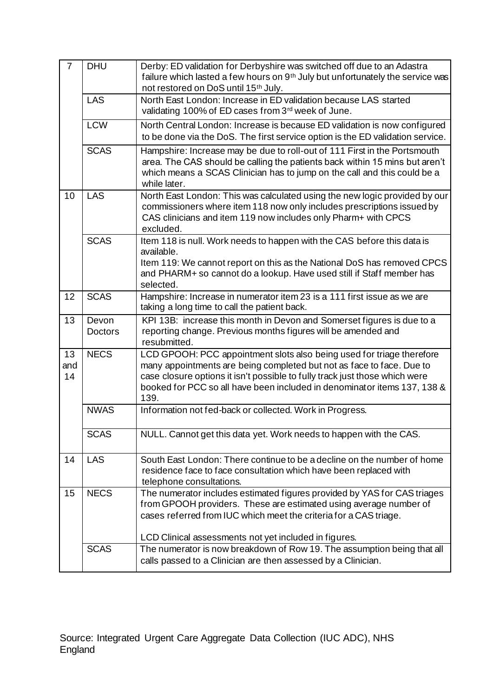| $\overline{7}$  | <b>DHU</b>              | Derby: ED validation for Derbyshire was switched off due to an Adastra<br>failure which lasted a few hours on 9 <sup>th</sup> July but unfortunately the service was<br>not restored on DoS until 15 <sup>th</sup> July.                                                                                          |
|-----------------|-------------------------|-------------------------------------------------------------------------------------------------------------------------------------------------------------------------------------------------------------------------------------------------------------------------------------------------------------------|
|                 | LAS                     | North East London: Increase in ED validation because LAS started<br>validating 100% of ED cases from 3rd week of June.                                                                                                                                                                                            |
|                 | <b>LCW</b>              | North Central London: Increase is because ED validation is now configured<br>to be done via the DoS. The first service option is the ED validation service.                                                                                                                                                       |
|                 | <b>SCAS</b>             | Hampshire: Increase may be due to roll-out of 111 First in the Portsmouth<br>area. The CAS should be calling the patients back within 15 mins but aren't<br>which means a SCAS Clinician has to jump on the call and this could be a<br>while later.                                                              |
| 10              | <b>LAS</b>              | North East London: This was calculated using the new logic provided by our<br>commissioners where item 118 now only includes prescriptions issued by<br>CAS clinicians and item 119 now includes only Pharm+ with CPCS<br>excluded.                                                                               |
|                 | <b>SCAS</b>             | Item 118 is null. Work needs to happen with the CAS before this data is<br>available.                                                                                                                                                                                                                             |
|                 |                         | Item 119: We cannot report on this as the National DoS has removed CPCS<br>and PHARM+ so cannot do a lookup. Have used still if Staff member has<br>selected.                                                                                                                                                     |
| 12              | <b>SCAS</b>             | Hampshire: Increase in numerator item 23 is a 111 first issue as we are<br>taking a long time to call the patient back.                                                                                                                                                                                           |
| 13              | Devon<br><b>Doctors</b> | KPI 13B: increase this month in Devon and Somerset figures is due to a<br>reporting change. Previous months figures will be amended and<br>resubmitted.                                                                                                                                                           |
| 13<br>and<br>14 | <b>NECS</b>             | LCD GPOOH: PCC appointment slots also being used for triage therefore<br>many appointments are being completed but not as face to face. Due to<br>case closure options it isn't possible to fully track just those which were<br>booked for PCC so all have been included in denominator items 137, 138 &<br>139. |
|                 | <b>NWAS</b>             | Information not fed-back or collected. Work in Progress.                                                                                                                                                                                                                                                          |
|                 | <b>SCAS</b>             | NULL. Cannot get this data yet. Work needs to happen with the CAS.                                                                                                                                                                                                                                                |
| 14              |                         |                                                                                                                                                                                                                                                                                                                   |
|                 | <b>LAS</b>              | South East London: There continue to be a decline on the number of home<br>residence face to face consultation which have been replaced with<br>telephone consultations.                                                                                                                                          |
| 15              | <b>NECS</b>             | The numerator includes estimated figures provided by YAS for CAS triages<br>from GPOOH providers. These are estimated using average number of<br>cases referred from IUC which meet the criteria for a CAS triage.                                                                                                |
|                 | <b>SCAS</b>             | LCD Clinical assessments not yet included in figures.<br>The numerator is now breakdown of Row 19. The assumption being that all                                                                                                                                                                                  |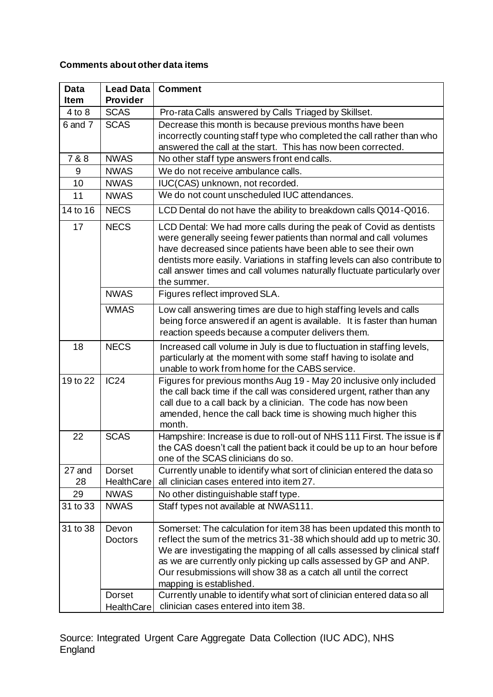## **Comments about other data items**

| <b>Data</b><br><b>Item</b> | <b>Lead Data</b><br><b>Provider</b> | <b>Comment</b>                                                                                                                                                                                                                                                                                                                                                                                |
|----------------------------|-------------------------------------|-----------------------------------------------------------------------------------------------------------------------------------------------------------------------------------------------------------------------------------------------------------------------------------------------------------------------------------------------------------------------------------------------|
| $4$ to $8$                 | <b>SCAS</b>                         | Pro-rata Calls answered by Calls Triaged by Skillset.                                                                                                                                                                                                                                                                                                                                         |
| 6 and 7                    | <b>SCAS</b>                         | Decrease this month is because previous months have been                                                                                                                                                                                                                                                                                                                                      |
|                            |                                     | incorrectly counting staff type who completed the call rather than who                                                                                                                                                                                                                                                                                                                        |
|                            |                                     | answered the call at the start. This has now been corrected.                                                                                                                                                                                                                                                                                                                                  |
| 7 & 8                      | <b>NWAS</b>                         | No other staff type answers front end calls.                                                                                                                                                                                                                                                                                                                                                  |
| 9                          | <b>NWAS</b>                         | We do not receive ambulance calls.                                                                                                                                                                                                                                                                                                                                                            |
| 10                         | <b>NWAS</b>                         | IUC(CAS) unknown, not recorded.                                                                                                                                                                                                                                                                                                                                                               |
| 11                         | <b>NWAS</b>                         | We do not count unscheduled IUC attendances.                                                                                                                                                                                                                                                                                                                                                  |
| 14 to 16                   | <b>NECS</b>                         | LCD Dental do not have the ability to breakdown calls Q014-Q016.                                                                                                                                                                                                                                                                                                                              |
| 17                         | <b>NECS</b>                         | LCD Dental: We had more calls during the peak of Covid as dentists<br>were generally seeing fewer patients than normal and call volumes<br>have decreased since patients have been able to see their own<br>dentists more easily. Variations in staffing levels can also contribute to<br>call answer times and call volumes naturally fluctuate particularly over<br>the summer.             |
|                            | <b>NWAS</b>                         | Figures reflect improved SLA.                                                                                                                                                                                                                                                                                                                                                                 |
|                            | <b>WMAS</b>                         | Low call answering times are due to high staffing levels and calls<br>being force answered if an agent is available. It is faster than human<br>reaction speeds because a computer delivers them.                                                                                                                                                                                             |
| 18                         | <b>NECS</b>                         | Increased call volume in July is due to fluctuation in staffing levels,<br>particularly at the moment with some staff having to isolate and<br>unable to work from home for the CABS service.                                                                                                                                                                                                 |
| 19 to 22                   | IC24                                | Figures for previous months Aug 19 - May 20 inclusive only included<br>the call back time if the call was considered urgent, rather than any<br>call due to a call back by a clinician. The code has now been<br>amended, hence the call back time is showing much higher this<br>month.                                                                                                      |
| 22                         | <b>SCAS</b>                         | Hampshire: Increase is due to roll-out of NHS 111 First. The issue is if<br>the CAS doesn't call the patient back it could be up to an hour before<br>one of the SCAS clinicians do so.                                                                                                                                                                                                       |
| 27 and<br>28               | <b>Dorset</b><br>HealthCare         | Currently unable to identify what sort of clinician entered the data so<br>all clinician cases entered into item 27.                                                                                                                                                                                                                                                                          |
| 29                         | <b>NWAS</b>                         | No other distinguishable staff type.                                                                                                                                                                                                                                                                                                                                                          |
| 31 to 33                   | <b>NWAS</b>                         | Staff types not available at NWAS111.                                                                                                                                                                                                                                                                                                                                                         |
| 31 to 38                   | Devon<br><b>Doctors</b>             | Somerset: The calculation for item 38 has been updated this month to<br>reflect the sum of the metrics 31-38 which should add up to metric 30.<br>We are investigating the mapping of all calls assessed by clinical staff<br>as we are currently only picking up calls assessed by GP and ANP.<br>Our resubmissions will show 38 as a catch all until the correct<br>mapping is established. |
|                            | <b>Dorset</b><br>HealthCare         | Currently unable to identify what sort of clinician entered data so all<br>clinician cases entered into item 38.                                                                                                                                                                                                                                                                              |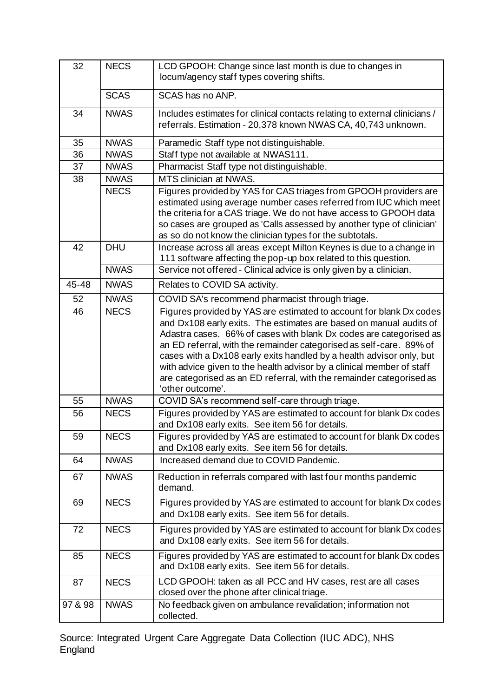| 32      | <b>NECS</b> | LCD GPOOH: Change since last month is due to changes in<br>locum/agency staff types covering shifts.                                                                                                                                                                                                                                                                                                                                                                                                                                |
|---------|-------------|-------------------------------------------------------------------------------------------------------------------------------------------------------------------------------------------------------------------------------------------------------------------------------------------------------------------------------------------------------------------------------------------------------------------------------------------------------------------------------------------------------------------------------------|
|         | <b>SCAS</b> | SCAS has no ANP.                                                                                                                                                                                                                                                                                                                                                                                                                                                                                                                    |
| 34      | <b>NWAS</b> | Includes estimates for clinical contacts relating to external clinicians /<br>referrals. Estimation - 20,378 known NWAS CA, 40,743 unknown.                                                                                                                                                                                                                                                                                                                                                                                         |
| 35      | <b>NWAS</b> | Paramedic Staff type not distinguishable.                                                                                                                                                                                                                                                                                                                                                                                                                                                                                           |
| 36      | <b>NWAS</b> | Staff type not available at NWAS111.                                                                                                                                                                                                                                                                                                                                                                                                                                                                                                |
| 37      | <b>NWAS</b> | Pharmacist Staff type not distinguishable.                                                                                                                                                                                                                                                                                                                                                                                                                                                                                          |
| 38      | <b>NWAS</b> | MTS clinician at NWAS.                                                                                                                                                                                                                                                                                                                                                                                                                                                                                                              |
|         | <b>NECS</b> | Figures provided by YAS for CAS triages from GPOOH providers are<br>estimated using average number cases referred from IUC which meet<br>the criteria for a CAS triage. We do not have access to GPOOH data<br>so cases are grouped as 'Calls assessed by another type of clinician'<br>as so do not know the clinician types for the subtotals.                                                                                                                                                                                    |
| 42      | <b>DHU</b>  | Increase across all areas except Milton Keynes is due to a change in<br>111 software affecting the pop-up box related to this question.                                                                                                                                                                                                                                                                                                                                                                                             |
|         | <b>NWAS</b> | Service not offered - Clinical advice is only given by a clinician.                                                                                                                                                                                                                                                                                                                                                                                                                                                                 |
| 45-48   | <b>NWAS</b> | Relates to COVID SA activity.                                                                                                                                                                                                                                                                                                                                                                                                                                                                                                       |
| 52      | <b>NWAS</b> | COVID SA's recommend pharmacist through triage.                                                                                                                                                                                                                                                                                                                                                                                                                                                                                     |
| 46      | <b>NECS</b> | Figures provided by YAS are estimated to account for blank Dx codes<br>and Dx108 early exits. The estimates are based on manual audits of<br>Adastra cases. 66% of cases with blank Dx codes are categorised as<br>an ED referral, with the remainder categorised as self-care. 89% of<br>cases with a Dx108 early exits handled by a health advisor only, but<br>with advice given to the health advisor by a clinical member of staff<br>are categorised as an ED referral, with the remainder categorised as<br>'other outcome'. |
| 55      | <b>NWAS</b> | COVID SA's recommend self-care through triage.                                                                                                                                                                                                                                                                                                                                                                                                                                                                                      |
| 56      | <b>NECS</b> | Figures provided by YAS are estimated to account for blank Dx codes<br>and Dx108 early exits. See item 56 for details.                                                                                                                                                                                                                                                                                                                                                                                                              |
| 59      | <b>NECS</b> | Figures provided by YAS are estimated to account for blank Dx codes<br>and Dx108 early exits. See item 56 for details.                                                                                                                                                                                                                                                                                                                                                                                                              |
| 64      | <b>NWAS</b> | Increased demand due to COVID Pandemic.                                                                                                                                                                                                                                                                                                                                                                                                                                                                                             |
| 67      | <b>NWAS</b> | Reduction in referrals compared with last four months pandemic<br>demand.                                                                                                                                                                                                                                                                                                                                                                                                                                                           |
| 69      | <b>NECS</b> | Figures provided by YAS are estimated to account for blank Dx codes<br>and Dx108 early exits. See item 56 for details.                                                                                                                                                                                                                                                                                                                                                                                                              |
| 72      | <b>NECS</b> | Figures provided by YAS are estimated to account for blank Dx codes<br>and Dx108 early exits. See item 56 for details.                                                                                                                                                                                                                                                                                                                                                                                                              |
| 85      | <b>NECS</b> | Figures provided by YAS are estimated to account for blank Dx codes<br>and Dx108 early exits. See item 56 for details.                                                                                                                                                                                                                                                                                                                                                                                                              |
| 87      | <b>NECS</b> | LCD GPOOH: taken as all PCC and HV cases, rest are all cases<br>closed over the phone after clinical triage.                                                                                                                                                                                                                                                                                                                                                                                                                        |
| 97 & 98 | <b>NWAS</b> | No feedback given on ambulance revalidation; information not<br>collected.                                                                                                                                                                                                                                                                                                                                                                                                                                                          |

Source: Integrated Urgent Care Aggregate Data Collection (IUC ADC), NHS England